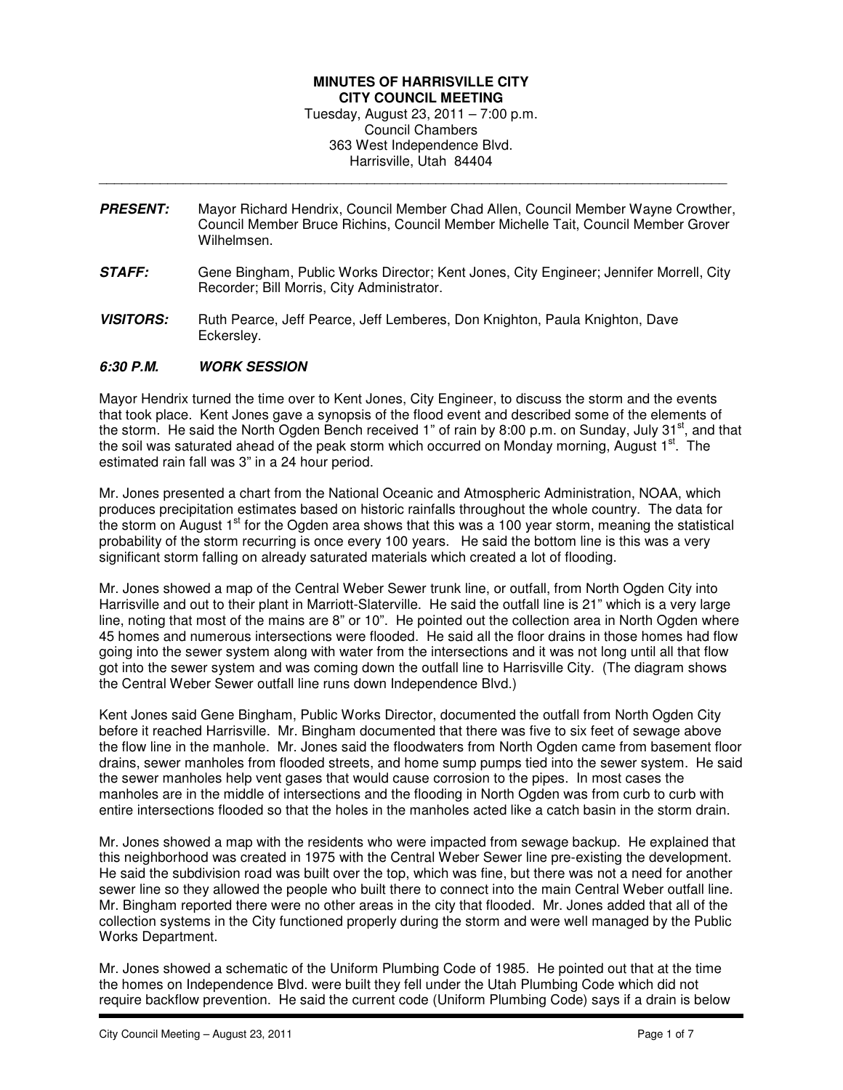### **MINUTES OF HARRISVILLE CITY CITY COUNCIL MEETING**  Tuesday, August 23, 2011 – 7:00 p.m. Council Chambers 363 West Independence Blvd. Harrisville, Utah 84404

**PRESENT:** Mayor Richard Hendrix, Council Member Chad Allen, Council Member Wayne Crowther, Council Member Bruce Richins, Council Member Michelle Tait, Council Member Grover Wilhelmsen.

\_\_\_\_\_\_\_\_\_\_\_\_\_\_\_\_\_\_\_\_\_\_\_\_\_\_\_\_\_\_\_\_\_\_\_\_\_\_\_\_\_\_\_\_\_\_\_\_\_\_\_\_\_\_\_\_\_\_\_\_\_\_\_\_\_\_\_\_\_\_\_\_\_\_\_\_\_\_\_\_\_\_

- **STAFF:** Gene Bingham, Public Works Director; Kent Jones, City Engineer; Jennifer Morrell, City Recorder; Bill Morris, City Administrator.
- **VISITORS:** Ruth Pearce, Jeff Pearce, Jeff Lemberes, Don Knighton, Paula Knighton, Dave Eckersley.

### **6:30 P.M. WORK SESSION**

Mayor Hendrix turned the time over to Kent Jones, City Engineer, to discuss the storm and the events that took place. Kent Jones gave a synopsis of the flood event and described some of the elements of the storm. He said the North Ogden Bench received 1" of rain by 8:00 p.m. on Sunday, July 31<sup>st</sup>, and that the soil was saturated ahead of the peak storm which occurred on Monday morning, August  $1<sup>st</sup>$ . The estimated rain fall was 3" in a 24 hour period.

Mr. Jones presented a chart from the National Oceanic and Atmospheric Administration, NOAA, which produces precipitation estimates based on historic rainfalls throughout the whole country. The data for the storm on August  $1<sup>st</sup>$  for the Ogden area shows that this was a 100 year storm, meaning the statistical probability of the storm recurring is once every 100 years. He said the bottom line is this was a very significant storm falling on already saturated materials which created a lot of flooding.

Mr. Jones showed a map of the Central Weber Sewer trunk line, or outfall, from North Ogden City into Harrisville and out to their plant in Marriott-Slaterville. He said the outfall line is 21" which is a very large line, noting that most of the mains are 8" or 10". He pointed out the collection area in North Ogden where 45 homes and numerous intersections were flooded. He said all the floor drains in those homes had flow going into the sewer system along with water from the intersections and it was not long until all that flow got into the sewer system and was coming down the outfall line to Harrisville City. (The diagram shows the Central Weber Sewer outfall line runs down Independence Blvd.)

Kent Jones said Gene Bingham, Public Works Director, documented the outfall from North Ogden City before it reached Harrisville. Mr. Bingham documented that there was five to six feet of sewage above the flow line in the manhole. Mr. Jones said the floodwaters from North Ogden came from basement floor drains, sewer manholes from flooded streets, and home sump pumps tied into the sewer system. He said the sewer manholes help vent gases that would cause corrosion to the pipes. In most cases the manholes are in the middle of intersections and the flooding in North Ogden was from curb to curb with entire intersections flooded so that the holes in the manholes acted like a catch basin in the storm drain.

Mr. Jones showed a map with the residents who were impacted from sewage backup. He explained that this neighborhood was created in 1975 with the Central Weber Sewer line pre-existing the development. He said the subdivision road was built over the top, which was fine, but there was not a need for another sewer line so they allowed the people who built there to connect into the main Central Weber outfall line. Mr. Bingham reported there were no other areas in the city that flooded. Mr. Jones added that all of the collection systems in the City functioned properly during the storm and were well managed by the Public Works Department.

Mr. Jones showed a schematic of the Uniform Plumbing Code of 1985. He pointed out that at the time the homes on Independence Blvd. were built they fell under the Utah Plumbing Code which did not require backflow prevention. He said the current code (Uniform Plumbing Code) says if a drain is below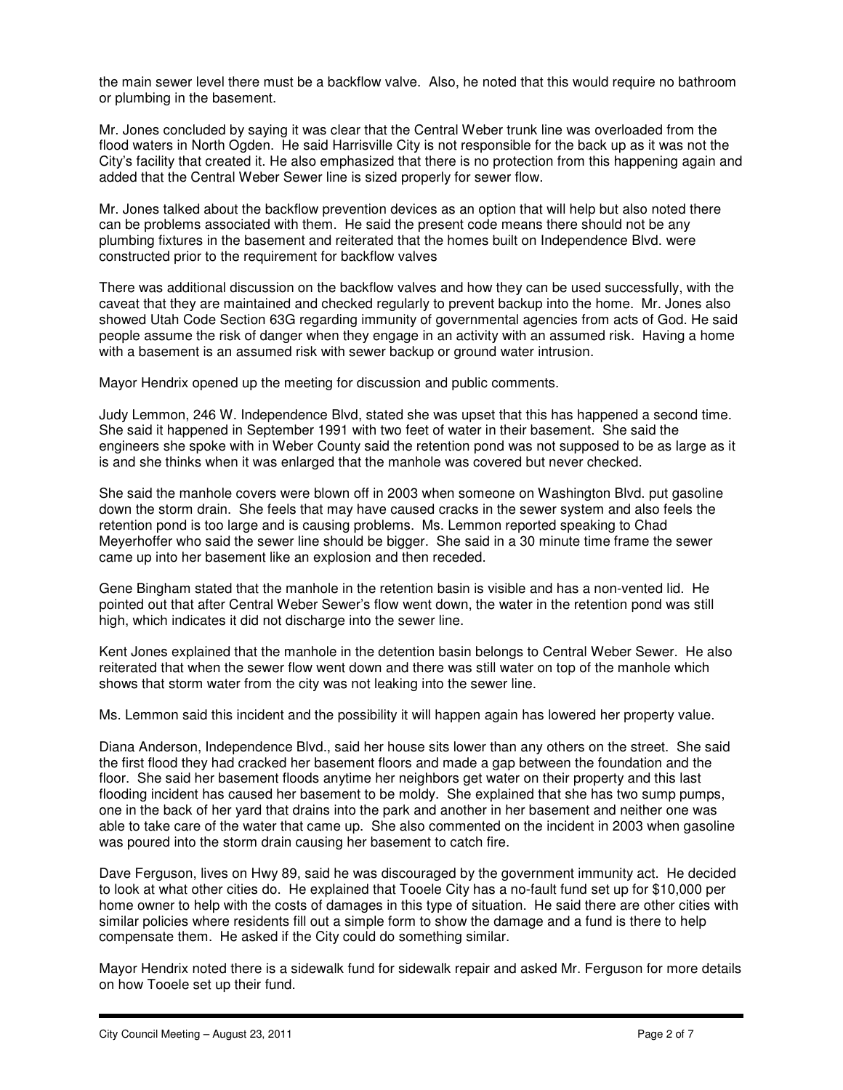the main sewer level there must be a backflow valve. Also, he noted that this would require no bathroom or plumbing in the basement.

Mr. Jones concluded by saying it was clear that the Central Weber trunk line was overloaded from the flood waters in North Ogden. He said Harrisville City is not responsible for the back up as it was not the City's facility that created it. He also emphasized that there is no protection from this happening again and added that the Central Weber Sewer line is sized properly for sewer flow.

Mr. Jones talked about the backflow prevention devices as an option that will help but also noted there can be problems associated with them. He said the present code means there should not be any plumbing fixtures in the basement and reiterated that the homes built on Independence Blvd. were constructed prior to the requirement for backflow valves

There was additional discussion on the backflow valves and how they can be used successfully, with the caveat that they are maintained and checked regularly to prevent backup into the home. Mr. Jones also showed Utah Code Section 63G regarding immunity of governmental agencies from acts of God. He said people assume the risk of danger when they engage in an activity with an assumed risk. Having a home with a basement is an assumed risk with sewer backup or ground water intrusion.

Mayor Hendrix opened up the meeting for discussion and public comments.

Judy Lemmon, 246 W. Independence Blvd, stated she was upset that this has happened a second time. She said it happened in September 1991 with two feet of water in their basement. She said the engineers she spoke with in Weber County said the retention pond was not supposed to be as large as it is and she thinks when it was enlarged that the manhole was covered but never checked.

She said the manhole covers were blown off in 2003 when someone on Washington Blvd. put gasoline down the storm drain. She feels that may have caused cracks in the sewer system and also feels the retention pond is too large and is causing problems. Ms. Lemmon reported speaking to Chad Meyerhoffer who said the sewer line should be bigger. She said in a 30 minute time frame the sewer came up into her basement like an explosion and then receded.

Gene Bingham stated that the manhole in the retention basin is visible and has a non-vented lid. He pointed out that after Central Weber Sewer's flow went down, the water in the retention pond was still high, which indicates it did not discharge into the sewer line.

Kent Jones explained that the manhole in the detention basin belongs to Central Weber Sewer. He also reiterated that when the sewer flow went down and there was still water on top of the manhole which shows that storm water from the city was not leaking into the sewer line.

Ms. Lemmon said this incident and the possibility it will happen again has lowered her property value.

Diana Anderson, Independence Blvd., said her house sits lower than any others on the street. She said the first flood they had cracked her basement floors and made a gap between the foundation and the floor. She said her basement floods anytime her neighbors get water on their property and this last flooding incident has caused her basement to be moldy. She explained that she has two sump pumps, one in the back of her yard that drains into the park and another in her basement and neither one was able to take care of the water that came up. She also commented on the incident in 2003 when gasoline was poured into the storm drain causing her basement to catch fire.

Dave Ferguson, lives on Hwy 89, said he was discouraged by the government immunity act. He decided to look at what other cities do. He explained that Tooele City has a no-fault fund set up for \$10,000 per home owner to help with the costs of damages in this type of situation. He said there are other cities with similar policies where residents fill out a simple form to show the damage and a fund is there to help compensate them. He asked if the City could do something similar.

Mayor Hendrix noted there is a sidewalk fund for sidewalk repair and asked Mr. Ferguson for more details on how Tooele set up their fund.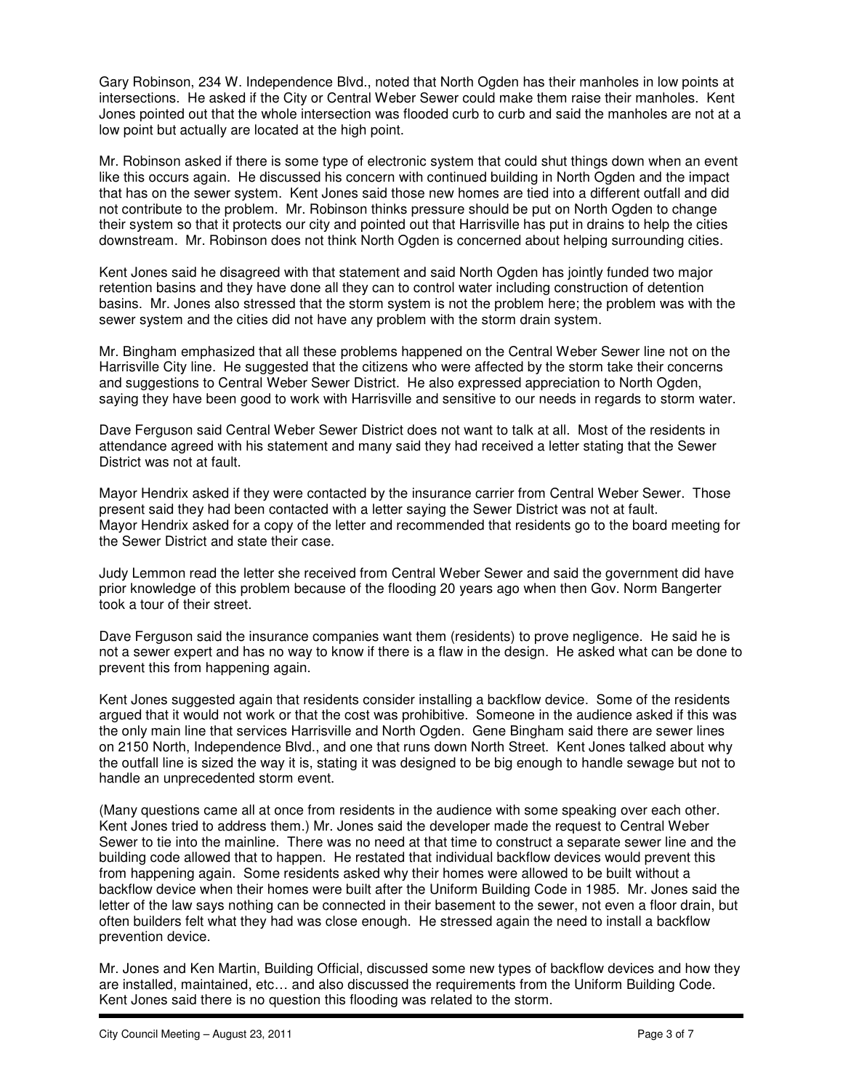Gary Robinson, 234 W. Independence Blvd., noted that North Ogden has their manholes in low points at intersections. He asked if the City or Central Weber Sewer could make them raise their manholes. Kent Jones pointed out that the whole intersection was flooded curb to curb and said the manholes are not at a low point but actually are located at the high point.

Mr. Robinson asked if there is some type of electronic system that could shut things down when an event like this occurs again. He discussed his concern with continued building in North Ogden and the impact that has on the sewer system. Kent Jones said those new homes are tied into a different outfall and did not contribute to the problem. Mr. Robinson thinks pressure should be put on North Ogden to change their system so that it protects our city and pointed out that Harrisville has put in drains to help the cities downstream. Mr. Robinson does not think North Ogden is concerned about helping surrounding cities.

Kent Jones said he disagreed with that statement and said North Ogden has jointly funded two major retention basins and they have done all they can to control water including construction of detention basins. Mr. Jones also stressed that the storm system is not the problem here; the problem was with the sewer system and the cities did not have any problem with the storm drain system.

Mr. Bingham emphasized that all these problems happened on the Central Weber Sewer line not on the Harrisville City line. He suggested that the citizens who were affected by the storm take their concerns and suggestions to Central Weber Sewer District. He also expressed appreciation to North Ogden, saying they have been good to work with Harrisville and sensitive to our needs in regards to storm water.

Dave Ferguson said Central Weber Sewer District does not want to talk at all. Most of the residents in attendance agreed with his statement and many said they had received a letter stating that the Sewer District was not at fault.

Mayor Hendrix asked if they were contacted by the insurance carrier from Central Weber Sewer. Those present said they had been contacted with a letter saying the Sewer District was not at fault. Mayor Hendrix asked for a copy of the letter and recommended that residents go to the board meeting for the Sewer District and state their case.

Judy Lemmon read the letter she received from Central Weber Sewer and said the government did have prior knowledge of this problem because of the flooding 20 years ago when then Gov. Norm Bangerter took a tour of their street.

Dave Ferguson said the insurance companies want them (residents) to prove negligence. He said he is not a sewer expert and has no way to know if there is a flaw in the design. He asked what can be done to prevent this from happening again.

Kent Jones suggested again that residents consider installing a backflow device. Some of the residents argued that it would not work or that the cost was prohibitive. Someone in the audience asked if this was the only main line that services Harrisville and North Ogden. Gene Bingham said there are sewer lines on 2150 North, Independence Blvd., and one that runs down North Street. Kent Jones talked about why the outfall line is sized the way it is, stating it was designed to be big enough to handle sewage but not to handle an unprecedented storm event.

(Many questions came all at once from residents in the audience with some speaking over each other. Kent Jones tried to address them.) Mr. Jones said the developer made the request to Central Weber Sewer to tie into the mainline. There was no need at that time to construct a separate sewer line and the building code allowed that to happen. He restated that individual backflow devices would prevent this from happening again. Some residents asked why their homes were allowed to be built without a backflow device when their homes were built after the Uniform Building Code in 1985. Mr. Jones said the letter of the law says nothing can be connected in their basement to the sewer, not even a floor drain, but often builders felt what they had was close enough. He stressed again the need to install a backflow prevention device.

Mr. Jones and Ken Martin, Building Official, discussed some new types of backflow devices and how they are installed, maintained, etc… and also discussed the requirements from the Uniform Building Code. Kent Jones said there is no question this flooding was related to the storm.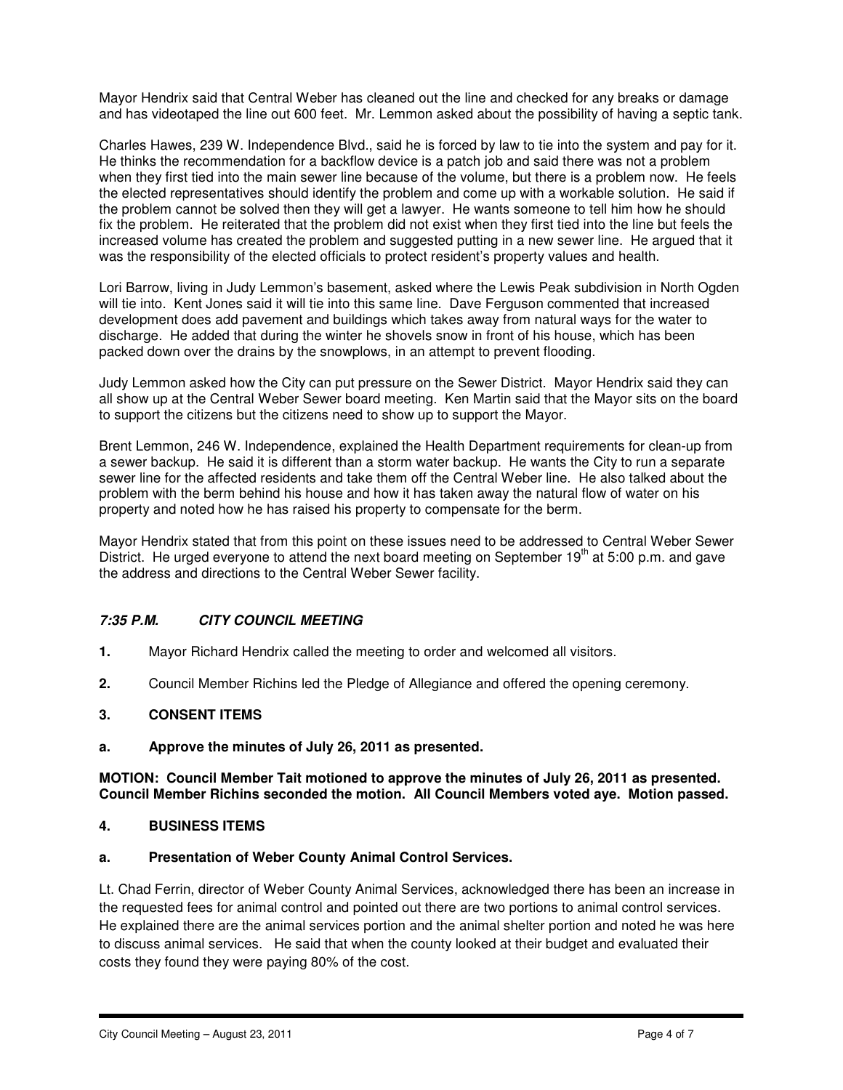Mayor Hendrix said that Central Weber has cleaned out the line and checked for any breaks or damage and has videotaped the line out 600 feet. Mr. Lemmon asked about the possibility of having a septic tank.

Charles Hawes, 239 W. Independence Blvd., said he is forced by law to tie into the system and pay for it. He thinks the recommendation for a backflow device is a patch job and said there was not a problem when they first tied into the main sewer line because of the volume, but there is a problem now. He feels the elected representatives should identify the problem and come up with a workable solution. He said if the problem cannot be solved then they will get a lawyer. He wants someone to tell him how he should fix the problem. He reiterated that the problem did not exist when they first tied into the line but feels the increased volume has created the problem and suggested putting in a new sewer line. He argued that it was the responsibility of the elected officials to protect resident's property values and health.

Lori Barrow, living in Judy Lemmon's basement, asked where the Lewis Peak subdivision in North Ogden will tie into. Kent Jones said it will tie into this same line. Dave Ferguson commented that increased development does add pavement and buildings which takes away from natural ways for the water to discharge. He added that during the winter he shovels snow in front of his house, which has been packed down over the drains by the snowplows, in an attempt to prevent flooding.

Judy Lemmon asked how the City can put pressure on the Sewer District. Mayor Hendrix said they can all show up at the Central Weber Sewer board meeting. Ken Martin said that the Mayor sits on the board to support the citizens but the citizens need to show up to support the Mayor.

Brent Lemmon, 246 W. Independence, explained the Health Department requirements for clean-up from a sewer backup. He said it is different than a storm water backup. He wants the City to run a separate sewer line for the affected residents and take them off the Central Weber line. He also talked about the problem with the berm behind his house and how it has taken away the natural flow of water on his property and noted how he has raised his property to compensate for the berm.

Mayor Hendrix stated that from this point on these issues need to be addressed to Central Weber Sewer District. He urged everyone to attend the next board meeting on September 19<sup>th</sup> at 5:00 p.m. and gave the address and directions to the Central Weber Sewer facility.

# **7:35 P.M. CITY COUNCIL MEETING**

- **1.** Mayor Richard Hendrix called the meeting to order and welcomed all visitors.
- **2.** Council Member Richins led the Pledge of Allegiance and offered the opening ceremony.

# **3. CONSENT ITEMS**

**a. Approve the minutes of July 26, 2011 as presented.** 

**MOTION: Council Member Tait motioned to approve the minutes of July 26, 2011 as presented. Council Member Richins seconded the motion. All Council Members voted aye. Motion passed.** 

### **4. BUSINESS ITEMS**

#### **a. Presentation of Weber County Animal Control Services.**

Lt. Chad Ferrin, director of Weber County Animal Services, acknowledged there has been an increase in the requested fees for animal control and pointed out there are two portions to animal control services. He explained there are the animal services portion and the animal shelter portion and noted he was here to discuss animal services. He said that when the county looked at their budget and evaluated their costs they found they were paying 80% of the cost.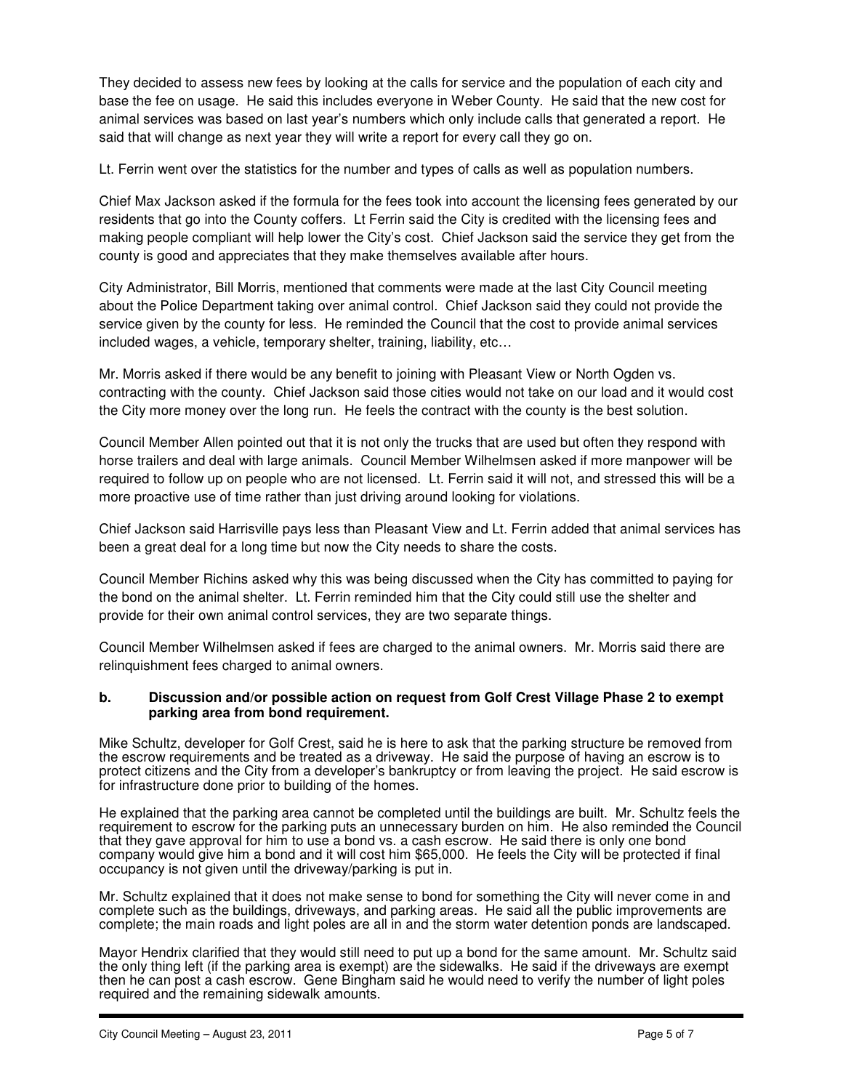They decided to assess new fees by looking at the calls for service and the population of each city and base the fee on usage. He said this includes everyone in Weber County. He said that the new cost for animal services was based on last year's numbers which only include calls that generated a report. He said that will change as next year they will write a report for every call they go on.

Lt. Ferrin went over the statistics for the number and types of calls as well as population numbers.

Chief Max Jackson asked if the formula for the fees took into account the licensing fees generated by our residents that go into the County coffers. Lt Ferrin said the City is credited with the licensing fees and making people compliant will help lower the City's cost. Chief Jackson said the service they get from the county is good and appreciates that they make themselves available after hours.

City Administrator, Bill Morris, mentioned that comments were made at the last City Council meeting about the Police Department taking over animal control. Chief Jackson said they could not provide the service given by the county for less. He reminded the Council that the cost to provide animal services included wages, a vehicle, temporary shelter, training, liability, etc…

Mr. Morris asked if there would be any benefit to joining with Pleasant View or North Ogden vs. contracting with the county. Chief Jackson said those cities would not take on our load and it would cost the City more money over the long run. He feels the contract with the county is the best solution.

Council Member Allen pointed out that it is not only the trucks that are used but often they respond with horse trailers and deal with large animals. Council Member Wilhelmsen asked if more manpower will be required to follow up on people who are not licensed. Lt. Ferrin said it will not, and stressed this will be a more proactive use of time rather than just driving around looking for violations.

Chief Jackson said Harrisville pays less than Pleasant View and Lt. Ferrin added that animal services has been a great deal for a long time but now the City needs to share the costs.

Council Member Richins asked why this was being discussed when the City has committed to paying for the bond on the animal shelter. Lt. Ferrin reminded him that the City could still use the shelter and provide for their own animal control services, they are two separate things.

Council Member Wilhelmsen asked if fees are charged to the animal owners. Mr. Morris said there are relinquishment fees charged to animal owners.

# **b. Discussion and/or possible action on request from Golf Crest Village Phase 2 to exempt parking area from bond requirement.**

Mike Schultz, developer for Golf Crest, said he is here to ask that the parking structure be removed from the escrow requirements and be treated as a driveway. He said the purpose of having an escrow is to protect citizens and the City from a developer's bankruptcy or from leaving the project. He said escrow is for infrastructure done prior to building of the homes.

He explained that the parking area cannot be completed until the buildings are built. Mr. Schultz feels the requirement to escrow for the parking puts an unnecessary burden on him. He also reminded the Council that they gave approval for him to use a bond vs. a cash escrow. He said there is only one bond company would give him a bond and it will cost him \$65,000. He feels the City will be protected if final occupancy is not given until the driveway/parking is put in.

Mr. Schultz explained that it does not make sense to bond for something the City will never come in and complete such as the buildings, driveways, and parking areas. He said all the public improvements are complete; the main roads and light poles are all in and the storm water detention ponds are landscaped.

Mayor Hendrix clarified that they would still need to put up a bond for the same amount. Mr. Schultz said the only thing left (if the parking area is exempt) are the sidewalks. He said if the driveways are exempt then he can post a cash escrow. Gene Bingham said he would need to verify the number of light poles required and the remaining sidewalk amounts.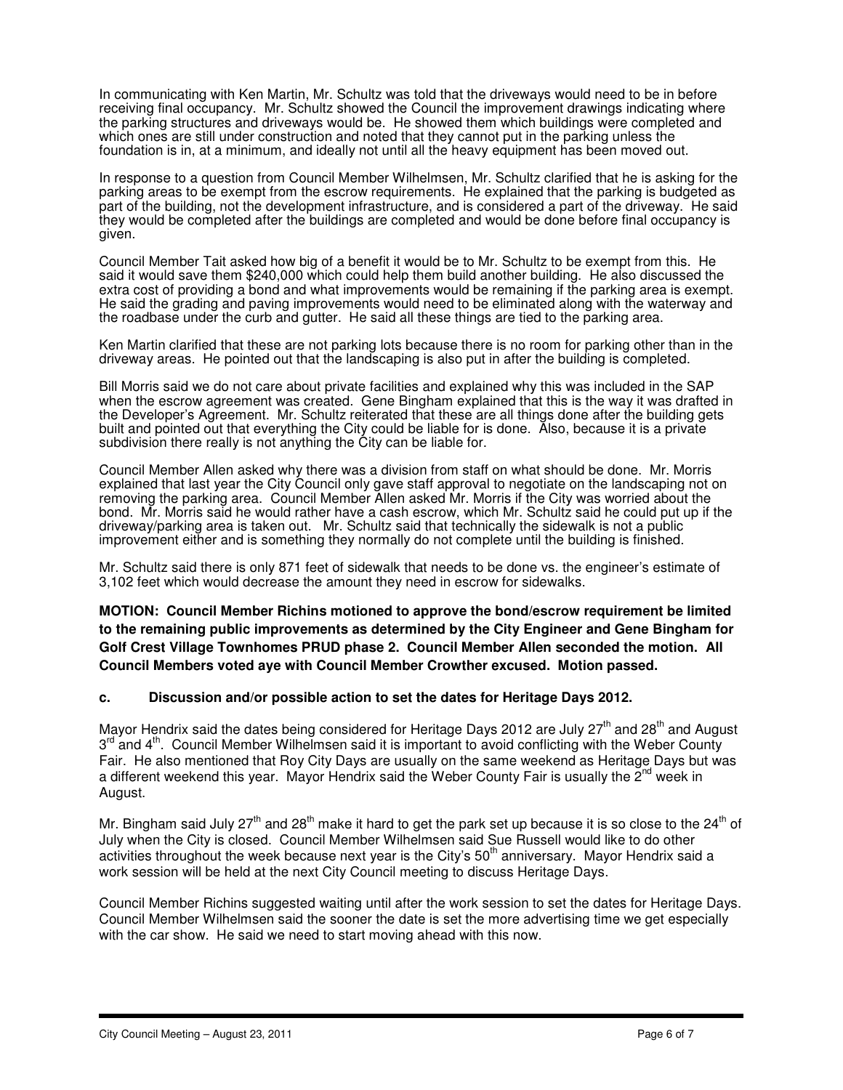In communicating with Ken Martin, Mr. Schultz was told that the driveways would need to be in before receiving final occupancy. Mr. Schultz showed the Council the improvement drawings indicating where the parking structures and driveways would be. He showed them which buildings were completed and which ones are still under construction and noted that they cannot put in the parking unless the foundation is in, at a minimum, and ideally not until all the heavy equipment has been moved out.

In response to a question from Council Member Wilhelmsen, Mr. Schultz clarified that he is asking for the parking areas to be exempt from the escrow requirements. He explained that the parking is budgeted as part of the building, not the development infrastructure, and is considered a part of the driveway. He said they would be completed after the buildings are completed and would be done before final occupancy is given.

Council Member Tait asked how big of a benefit it would be to Mr. Schultz to be exempt from this. He said it would save them \$240,000 which could help them build another building. He also discussed the extra cost of providing a bond and what improvements would be remaining if the parking area is exempt. He said the grading and paving improvements would need to be eliminated along with the waterway and the roadbase under the curb and gutter. He said all these things are tied to the parking area.

Ken Martin clarified that these are not parking lots because there is no room for parking other than in the driveway areas. He pointed out that the landscaping is also put in after the building is completed.

Bill Morris said we do not care about private facilities and explained why this was included in the SAP when the escrow agreement was created. Gene Bingham explained that this is the way it was drafted in the Developer's Agreement. Mr. Schultz reiterated that these are all things done after the building gets built and pointed out that everything the City could be liable for is done. Also, because it is a private subdivision there really is not anything the City can be liable for.

Council Member Allen asked why there was a division from staff on what should be done. Mr. Morris explained that last year the City Council only gave staff approval to negotiate on the landscaping not on removing the parking area. Council Member Allen asked Mr. Morris if the City was worried about the bond. Mr. Morris said he would rather have a cash escrow, which Mr. Schultz said he could put up if the driveway/parking area is taken out. Mr. Schultz said that technically the sidewalk is not a public improvement either and is something they normally do not complete until the building is finished.

Mr. Schultz said there is only 871 feet of sidewalk that needs to be done vs. the engineer's estimate of 3,102 feet which would decrease the amount they need in escrow for sidewalks.

**MOTION: Council Member Richins motioned to approve the bond/escrow requirement be limited to the remaining public improvements as determined by the City Engineer and Gene Bingham for Golf Crest Village Townhomes PRUD phase 2. Council Member Allen seconded the motion. All Council Members voted aye with Council Member Crowther excused. Motion passed.** 

# **c. Discussion and/or possible action to set the dates for Heritage Days 2012.**

Mayor Hendrix said the dates being considered for Heritage Days 2012 are July  $27<sup>th</sup>$  and  $28<sup>th</sup>$  and August 3<sup>rd</sup> and 4<sup>th</sup>. Council Member Wilhelmsen said it is important to avoid conflicting with the Weber County Fair. He also mentioned that Roy City Days are usually on the same weekend as Heritage Days but was a different weekend this year. Mayor Hendrix said the Weber County Fair is usually the  $2^{nd}$  week in August.

Mr. Bingham said July  $27<sup>th</sup>$  and  $28<sup>th</sup>$  make it hard to get the park set up because it is so close to the  $24<sup>th</sup>$  of July when the City is closed. Council Member Wilhelmsen said Sue Russell would like to do other activities throughout the week because next year is the City's 50<sup>th</sup> anniversary. Mayor Hendrix said a work session will be held at the next City Council meeting to discuss Heritage Days.

Council Member Richins suggested waiting until after the work session to set the dates for Heritage Days. Council Member Wilhelmsen said the sooner the date is set the more advertising time we get especially with the car show. He said we need to start moving ahead with this now.